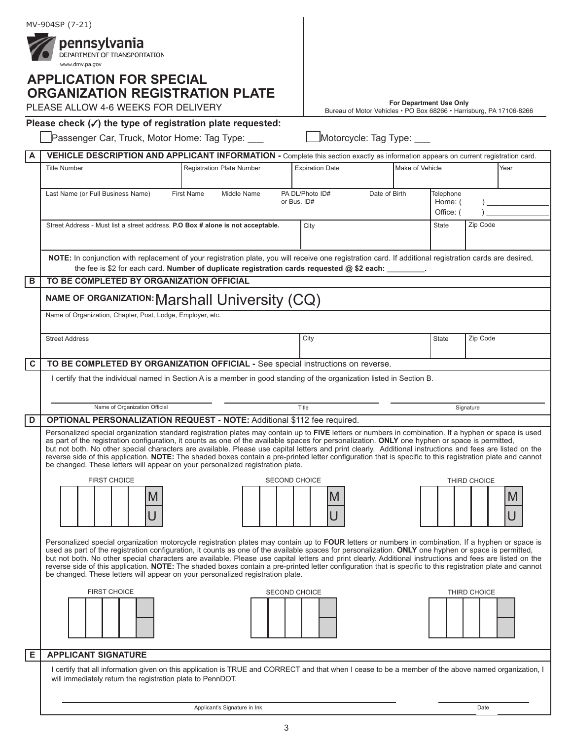|             | MV-904SP (7-21)                                                                                                                                                                                                                                                                                                                                                                                                                                                                                                                                         |                                                                     |                         |                             |              |   |
|-------------|---------------------------------------------------------------------------------------------------------------------------------------------------------------------------------------------------------------------------------------------------------------------------------------------------------------------------------------------------------------------------------------------------------------------------------------------------------------------------------------------------------------------------------------------------------|---------------------------------------------------------------------|-------------------------|-----------------------------|--------------|---|
|             | pennsylvania<br>DEPARTMENT OF TRANSPORTATION                                                                                                                                                                                                                                                                                                                                                                                                                                                                                                            |                                                                     |                         |                             |              |   |
|             | www.dmv.pa.gov                                                                                                                                                                                                                                                                                                                                                                                                                                                                                                                                          |                                                                     |                         |                             |              |   |
|             | <b>APPLICATION FOR SPECIAL</b>                                                                                                                                                                                                                                                                                                                                                                                                                                                                                                                          |                                                                     |                         |                             |              |   |
|             | <b>ORGANIZATION REGISTRATION PLATE</b><br>PLEASE ALLOW 4-6 WEEKS FOR DELIVERY                                                                                                                                                                                                                                                                                                                                                                                                                                                                           |                                                                     | For Department Use Only |                             |              |   |
|             |                                                                                                                                                                                                                                                                                                                                                                                                                                                                                                                                                         | Bureau of Motor Vehicles · PO Box 68266 · Harrisburg, PA 17106-8266 |                         |                             |              |   |
|             | Please check $(\checkmark)$ the type of registration plate requested:<br>Passenger Car, Truck, Motor Home: Tag Type: ___                                                                                                                                                                                                                                                                                                                                                                                                                                | Motorcycle: Tag Type: ___                                           |                         |                             |              |   |
| А           | VEHICLE DESCRIPTION AND APPLICANT INFORMATION - Complete this section exactly as information appears on current registration card.                                                                                                                                                                                                                                                                                                                                                                                                                      |                                                                     |                         |                             |              |   |
|             | <b>Registration Plate Number</b><br><b>Title Number</b>                                                                                                                                                                                                                                                                                                                                                                                                                                                                                                 | <b>Expiration Date</b>                                              | Make of Vehicle<br>Year |                             |              |   |
|             |                                                                                                                                                                                                                                                                                                                                                                                                                                                                                                                                                         |                                                                     |                         |                             |              |   |
|             | <b>First Name</b><br>Middle Name<br>Last Name (or Full Business Name)<br>or Bus. ID#                                                                                                                                                                                                                                                                                                                                                                                                                                                                    | PA DL/Photo ID#<br>Date of Birth                                    |                         | <b>Telephone</b><br>Home: ( |              |   |
|             | Office: (                                                                                                                                                                                                                                                                                                                                                                                                                                                                                                                                               |                                                                     |                         |                             |              |   |
|             | Street Address - Must list a street address. P.O Box # alone is not acceptable.                                                                                                                                                                                                                                                                                                                                                                                                                                                                         | City                                                                |                         | <b>State</b>                | Zip Code     |   |
|             |                                                                                                                                                                                                                                                                                                                                                                                                                                                                                                                                                         |                                                                     |                         |                             |              |   |
|             | NOTE: In conjunction with replacement of your registration plate, you will receive one registration card. If additional registration cards are desired,<br>the fee is \$2 for each card. Number of duplicate registration cards requested @ \$2 each:                                                                                                                                                                                                                                                                                                   |                                                                     |                         |                             |              |   |
| B           | TO BE COMPLETED BY ORGANIZATION OFFICIAL                                                                                                                                                                                                                                                                                                                                                                                                                                                                                                                |                                                                     |                         |                             |              |   |
|             | NAME OF ORGANIZATION: Marshall University (CQ)                                                                                                                                                                                                                                                                                                                                                                                                                                                                                                          |                                                                     |                         |                             |              |   |
|             | Name of Organization, Chapter, Post, Lodge, Employer, etc.                                                                                                                                                                                                                                                                                                                                                                                                                                                                                              |                                                                     |                         |                             |              |   |
|             |                                                                                                                                                                                                                                                                                                                                                                                                                                                                                                                                                         |                                                                     |                         |                             |              |   |
|             | <b>Street Address</b>                                                                                                                                                                                                                                                                                                                                                                                                                                                                                                                                   | City                                                                |                         | <b>State</b>                | Zip Code     |   |
| $\mathbf c$ | TO BE COMPLETED BY ORGANIZATION OFFICIAL - See special instructions on reverse.                                                                                                                                                                                                                                                                                                                                                                                                                                                                         |                                                                     |                         |                             |              |   |
|             | I certify that the individual named in Section A is a member in good standing of the organization listed in Section B.                                                                                                                                                                                                                                                                                                                                                                                                                                  |                                                                     |                         |                             |              |   |
|             |                                                                                                                                                                                                                                                                                                                                                                                                                                                                                                                                                         |                                                                     |                         |                             |              |   |
|             | Name of Organization Official                                                                                                                                                                                                                                                                                                                                                                                                                                                                                                                           | Title                                                               |                         |                             | Signature    |   |
| D           | <b>OPTIONAL PERSONALIZATION REQUEST - NOTE: Additional \$112 fee required.</b><br>Personalized special organization standard registration plates may contain up to FIVE letters or numbers in combination. If a hyphen or space is used<br>as part of the registration configuration, it counts as one of the available spaces for personalization. ONLY one hyphen or space is permitted,<br>but not both. No other special characters are available. Please use capital letters and print clearly. Additional instructions and fees are listed on the |                                                                     |                         |                             |              |   |
|             |                                                                                                                                                                                                                                                                                                                                                                                                                                                                                                                                                         |                                                                     |                         |                             |              |   |
|             | reverse side of this application. NOTE: The shaded boxes contain a pre-printed letter configuration that is specific to this registration plate and cannot<br>be changed. These letters will appear on your personalized registration plate.                                                                                                                                                                                                                                                                                                            |                                                                     |                         |                             |              |   |
|             | <b>FIRST CHOICE</b><br>SECOND CHOICE                                                                                                                                                                                                                                                                                                                                                                                                                                                                                                                    |                                                                     |                         |                             | THIRD CHOICE |   |
|             | M                                                                                                                                                                                                                                                                                                                                                                                                                                                                                                                                                       | <b>M</b>                                                            |                         |                             |              | M |
|             |                                                                                                                                                                                                                                                                                                                                                                                                                                                                                                                                                         |                                                                     |                         |                             |              |   |
|             |                                                                                                                                                                                                                                                                                                                                                                                                                                                                                                                                                         | U                                                                   |                         |                             |              |   |
|             | Personalized special organization motorcycle registration plates may contain up to FOUR letters or numbers in combination. If a hyphen or space is                                                                                                                                                                                                                                                                                                                                                                                                      |                                                                     |                         |                             |              |   |
|             | used as part of the registration configuration, it counts as one of the available spaces for personalization. ONLY one hyphen or space is permitted,<br>but not both. No other special characters are available. Please use capital letters and print clearly. Additional instructions and fees are listed on the                                                                                                                                                                                                                                       |                                                                     |                         |                             |              |   |
|             | reverse side of this application. NOTE: The shaded boxes contain a pre-printed letter configuration that is specific to this registration plate and cannot<br>be changed. These letters will appear on your personalized registration plate.                                                                                                                                                                                                                                                                                                            |                                                                     |                         |                             |              |   |
|             | <b>FIRST CHOICE</b><br><b>SECOND CHOICE</b>                                                                                                                                                                                                                                                                                                                                                                                                                                                                                                             |                                                                     |                         |                             | THIRD CHOICE |   |
|             |                                                                                                                                                                                                                                                                                                                                                                                                                                                                                                                                                         |                                                                     |                         |                             |              |   |
|             |                                                                                                                                                                                                                                                                                                                                                                                                                                                                                                                                                         |                                                                     |                         |                             |              |   |
|             |                                                                                                                                                                                                                                                                                                                                                                                                                                                                                                                                                         |                                                                     |                         |                             |              |   |
| Е           | <b>APPLICANT SIGNATURE</b>                                                                                                                                                                                                                                                                                                                                                                                                                                                                                                                              |                                                                     |                         |                             |              |   |
|             | I certify that all information given on this application is TRUE and CORRECT and that when I cease to be a member of the above named organization, I<br>will immediately return the registration plate to PennDOT.                                                                                                                                                                                                                                                                                                                                      |                                                                     |                         |                             |              |   |
|             |                                                                                                                                                                                                                                                                                                                                                                                                                                                                                                                                                         |                                                                     |                         |                             |              |   |

| Applicant's Signature in Ink | Date |
|------------------------------|------|
|                              |      |